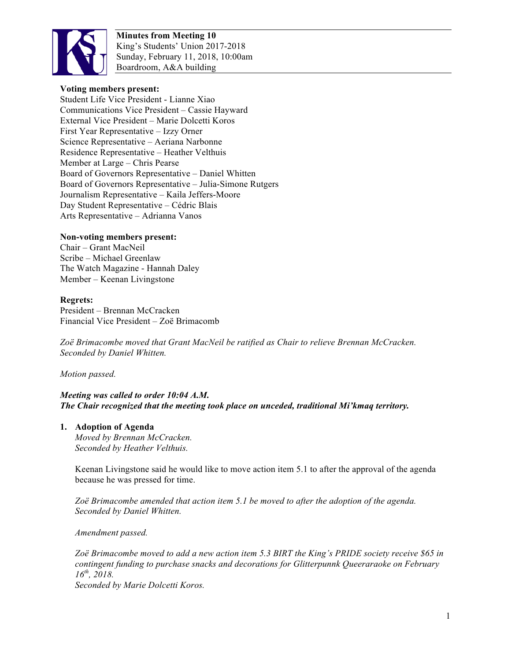

#### **Voting members present:**

Student Life Vice President - Lianne Xiao Communications Vice President – Cassie Hayward External Vice President – Marie Dolcetti Koros First Year Representative – Izzy Orner Science Representative – Aeriana Narbonne Residence Representative – Heather Velthuis Member at Large – Chris Pearse Board of Governors Representative – Daniel Whitten Board of Governors Representative – Julia-Simone Rutgers Journalism Representative – Kaila Jeffers-Moore Day Student Representative – Cédric Blais Arts Representative – Adrianna Vanos

# **Non-voting members present:**

Chair – Grant MacNeil Scribe – Michael Greenlaw The Watch Magazine - Hannah Daley Member – Keenan Livingstone

# **Regrets:**

President – Brennan McCracken Financial Vice President – Zoë Brimacomb

*Zoë Brimacombe moved that Grant MacNeil be ratified as Chair to relieve Brennan McCracken. Seconded by Daniel Whitten.*

*Motion passed.*

# *Meeting was called to order 10:04 A.M. The Chair recognized that the meeting took place on unceded, traditional Mi'kmaq territory.*

#### **1. Adoption of Agenda**

*Moved by Brennan McCracken. Seconded by Heather Velthuis.*

Keenan Livingstone said he would like to move action item 5.1 to after the approval of the agenda because he was pressed for time.

*Zoë Brimacombe amended that action item 5.1 be moved to after the adoption of the agenda. Seconded by Daniel Whitten.*

*Amendment passed.*

*Zoë Brimacombe moved to add a new action item 5.3 BIRT the King's PRIDE society receive \$65 in contingent funding to purchase snacks and decorations for Glitterpunnk Queeraraoke on February 16th, 2018.*

*Seconded by Marie Dolcetti Koros.*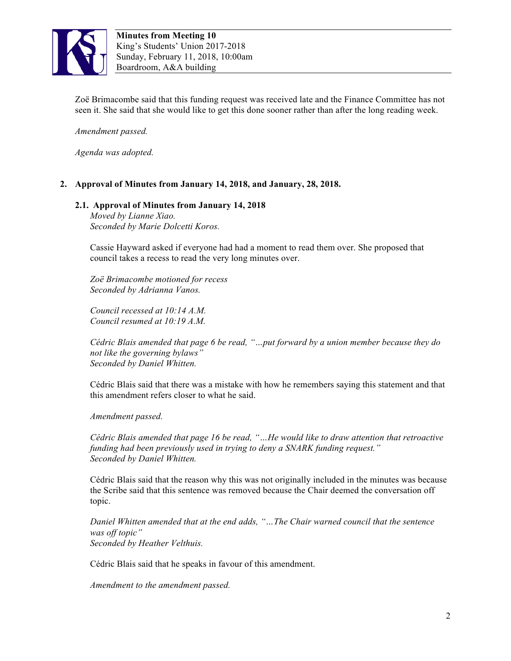

Zoë Brimacombe said that this funding request was received late and the Finance Committee has not seen it. She said that she would like to get this done sooner rather than after the long reading week.

*Amendment passed.* 

*Agenda was adopted.*

#### **2. Approval of Minutes from January 14, 2018, and January, 28, 2018.**

# **2.1. Approval of Minutes from January 14, 2018**

*Moved by Lianne Xiao. Seconded by Marie Dolcetti Koros.*

Cassie Hayward asked if everyone had had a moment to read them over. She proposed that council takes a recess to read the very long minutes over.

*Zoë Brimacombe motioned for recess Seconded by Adrianna Vanos.*

*Council recessed at 10:14 A.M. Council resumed at 10:19 A.M.*

*Cédric Blais amended that page 6 be read, "…put forward by a union member because they do not like the governing bylaws" Seconded by Daniel Whitten.*

Cédric Blais said that there was a mistake with how he remembers saying this statement and that this amendment refers closer to what he said.

*Amendment passed.*

*Cédric Blais amended that page 16 be read, "…He would like to draw attention that retroactive funding had been previously used in trying to deny a SNARK funding request." Seconded by Daniel Whitten.* 

Cédric Blais said that the reason why this was not originally included in the minutes was because the Scribe said that this sentence was removed because the Chair deemed the conversation off topic.

*Daniel Whitten amended that at the end adds, "…The Chair warned council that the sentence was off topic" Seconded by Heather Velthuis.* 

Cédric Blais said that he speaks in favour of this amendment.

*Amendment to the amendment passed.*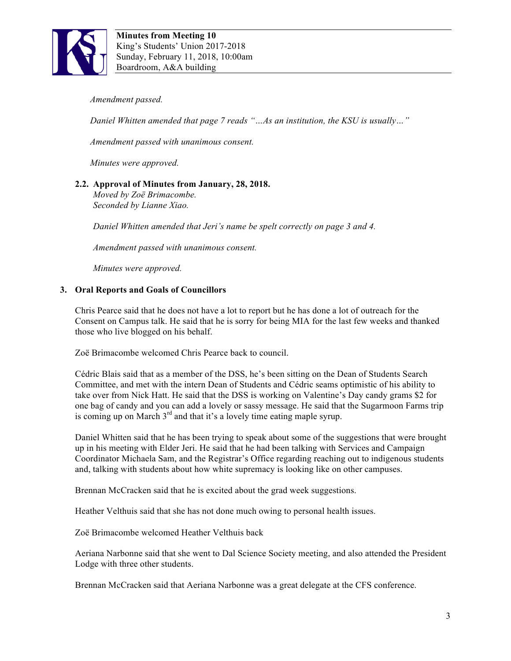

*Amendment passed.*

*Daniel Whitten amended that page 7 reads "...As an institution, the KSU is usually..."* 

*Amendment passed with unanimous consent.*

*Minutes were approved.*

# **2.2. Approval of Minutes from January, 28, 2018.**

*Moved by Zoë Brimacombe. Seconded by Lianne Xiao.*

*Daniel Whitten amended that Jeri's name be spelt correctly on page 3 and 4.*

*Amendment passed with unanimous consent.*

*Minutes were approved.*

#### **3. Oral Reports and Goals of Councillors**

Chris Pearce said that he does not have a lot to report but he has done a lot of outreach for the Consent on Campus talk. He said that he is sorry for being MIA for the last few weeks and thanked those who live blogged on his behalf.

Zoë Brimacombe welcomed Chris Pearce back to council.

Cédric Blais said that as a member of the DSS, he's been sitting on the Dean of Students Search Committee, and met with the intern Dean of Students and Cédric seams optimistic of his ability to take over from Nick Hatt. He said that the DSS is working on Valentine's Day candy grams \$2 for one bag of candy and you can add a lovely or sassy message. He said that the Sugarmoon Farms trip is coming up on March  $3<sup>rd</sup>$  and that it's a lovely time eating maple syrup.

Daniel Whitten said that he has been trying to speak about some of the suggestions that were brought up in his meeting with Elder Jeri. He said that he had been talking with Services and Campaign Coordinator Michaela Sam, and the Registrar's Office regarding reaching out to indigenous students and, talking with students about how white supremacy is looking like on other campuses.

Brennan McCracken said that he is excited about the grad week suggestions.

Heather Velthuis said that she has not done much owing to personal health issues.

Zoë Brimacombe welcomed Heather Velthuis back

Aeriana Narbonne said that she went to Dal Science Society meeting, and also attended the President Lodge with three other students.

Brennan McCracken said that Aeriana Narbonne was a great delegate at the CFS conference.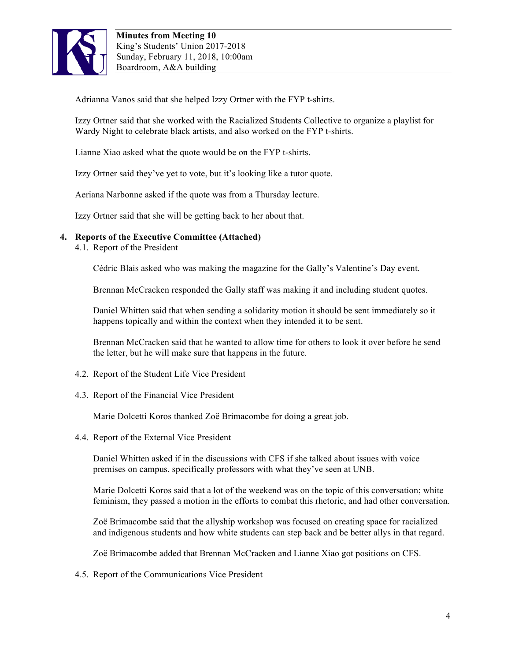

Adrianna Vanos said that she helped Izzy Ortner with the FYP t-shirts.

Izzy Ortner said that she worked with the Racialized Students Collective to organize a playlist for Wardy Night to celebrate black artists, and also worked on the FYP t-shirts.

Lianne Xiao asked what the quote would be on the FYP t-shirts.

Izzy Ortner said they've yet to vote, but it's looking like a tutor quote.

Aeriana Narbonne asked if the quote was from a Thursday lecture.

Izzy Ortner said that she will be getting back to her about that.

# **4. Reports of the Executive Committee (Attached)**

4.1. Report of the President

Cédric Blais asked who was making the magazine for the Gally's Valentine's Day event.

Brennan McCracken responded the Gally staff was making it and including student quotes.

Daniel Whitten said that when sending a solidarity motion it should be sent immediately so it happens topically and within the context when they intended it to be sent.

Brennan McCracken said that he wanted to allow time for others to look it over before he send the letter, but he will make sure that happens in the future.

- 4.2. Report of the Student Life Vice President
- 4.3. Report of the Financial Vice President

Marie Dolcetti Koros thanked Zoë Brimacombe for doing a great job.

4.4. Report of the External Vice President

Daniel Whitten asked if in the discussions with CFS if she talked about issues with voice premises on campus, specifically professors with what they've seen at UNB.

Marie Dolcetti Koros said that a lot of the weekend was on the topic of this conversation; white feminism, they passed a motion in the efforts to combat this rhetoric, and had other conversation.

Zoë Brimacombe said that the allyship workshop was focused on creating space for racialized and indigenous students and how white students can step back and be better allys in that regard.

Zoë Brimacombe added that Brennan McCracken and Lianne Xiao got positions on CFS.

4.5. Report of the Communications Vice President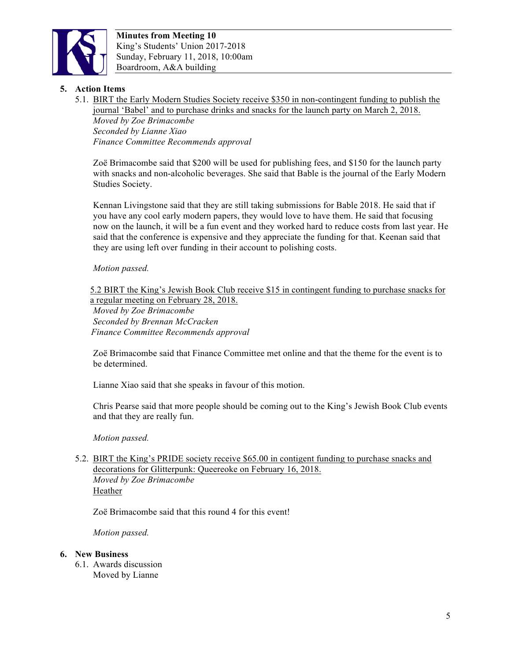

# **5. Action Items**

5.1. BIRT the Early Modern Studies Society receive \$350 in non-contingent funding to publish the journal 'Babel' and to purchase drinks and snacks for the launch party on March 2, 2018.

*Moved by Zoe Brimacombe Seconded by Lianne Xiao Finance Committee Recommends approval* 

Zoë Brimacombe said that \$200 will be used for publishing fees, and \$150 for the launch party with snacks and non-alcoholic beverages. She said that Bable is the journal of the Early Modern Studies Society.

Kennan Livingstone said that they are still taking submissions for Bable 2018. He said that if you have any cool early modern papers, they would love to have them. He said that focusing now on the launch, it will be a fun event and they worked hard to reduce costs from last year. He said that the conference is expensive and they appreciate the funding for that. Keenan said that they are using left over funding in their account to polishing costs.

# *Motion passed.*

5.2 BIRT the King's Jewish Book Club receive \$15 in contingent funding to purchase snacks for a regular meeting on February 28, 2018.

*Moved by Zoe Brimacombe Seconded by Brennan McCracken Finance Committee Recommends approval* 

Zoë Brimacombe said that Finance Committee met online and that the theme for the event is to be determined.

Lianne Xiao said that she speaks in favour of this motion.

Chris Pearse said that more people should be coming out to the King's Jewish Book Club events and that they are really fun.

*Motion passed.*

5.2. BIRT the King's PRIDE society receive \$65.00 in contigent funding to purchase snacks and decorations for Glitterpunk: Queereoke on February 16, 2018. *Moved by Zoe Brimacombe*  **Heather** 

Zoë Brimacombe said that this round 4 for this event!

*Motion passed.*

#### **6. New Business**

6.1. Awards discussion Moved by Lianne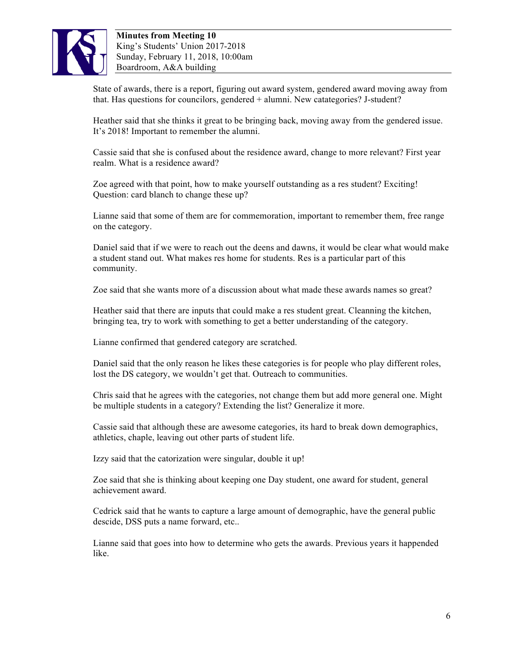

State of awards, there is a report, figuring out award system, gendered award moving away from that. Has questions for councilors, gendered + alumni. New catategories? J-student?

Heather said that she thinks it great to be bringing back, moving away from the gendered issue. It's 2018! Important to remember the alumni.

Cassie said that she is confused about the residence award, change to more relevant? First year realm. What is a residence award?

Zoe agreed with that point, how to make yourself outstanding as a res student? Exciting! Question: card blanch to change these up?

Lianne said that some of them are for commemoration, important to remember them, free range on the category.

Daniel said that if we were to reach out the deens and dawns, it would be clear what would make a student stand out. What makes res home for students. Res is a particular part of this community.

Zoe said that she wants more of a discussion about what made these awards names so great?

Heather said that there are inputs that could make a res student great. Cleanning the kitchen, bringing tea, try to work with something to get a better understanding of the category.

Lianne confirmed that gendered category are scratched.

Daniel said that the only reason he likes these categories is for people who play different roles, lost the DS category, we wouldn't get that. Outreach to communities.

Chris said that he agrees with the categories, not change them but add more general one. Might be multiple students in a category? Extending the list? Generalize it more.

Cassie said that although these are awesome categories, its hard to break down demographics, athletics, chaple, leaving out other parts of student life.

Izzy said that the catorization were singular, double it up!

Zoe said that she is thinking about keeping one Day student, one award for student, general achievement award.

Cedrick said that he wants to capture a large amount of demographic, have the general public descide, DSS puts a name forward, etc..

Lianne said that goes into how to determine who gets the awards. Previous years it happended like.